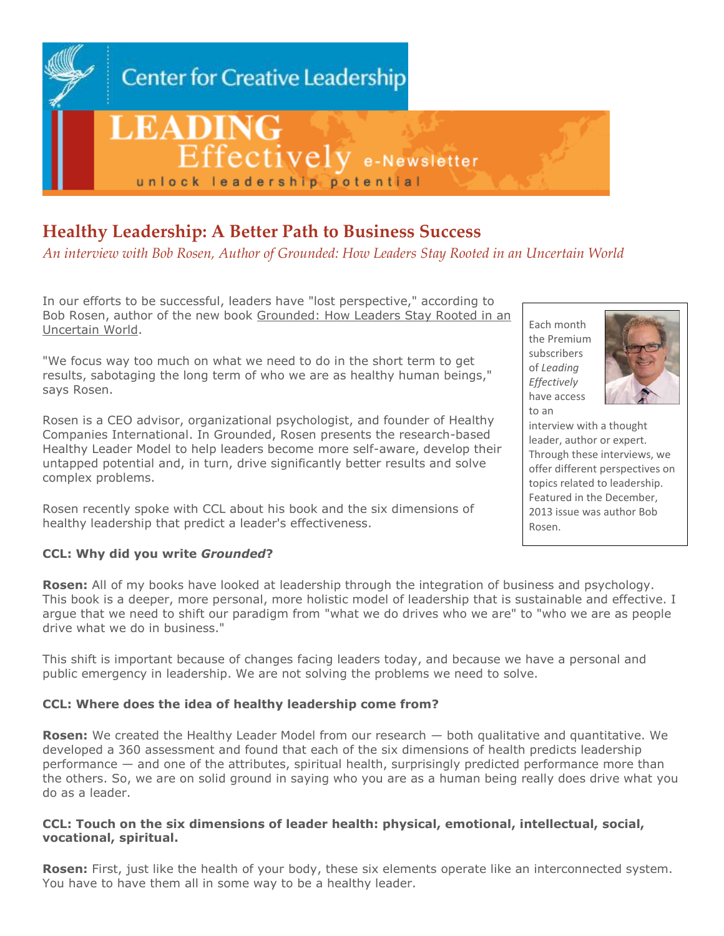

# **Healthy Leadership: A Better Path to Business Success**

*An interview with Bob Rosen, Author of Grounded: How Leaders Stay Rooted in an Uncertain World*

In our efforts to be successful, leaders have "lost perspective," according to Bob Rosen, author of the new book [Grounded: How Leaders Stay Rooted in an](http://bobrosen.com/books/grounded/overview/)  [Uncertain World.](http://bobrosen.com/books/grounded/overview/)

"We focus way too much on what we need to do in the short term to get results, sabotaging the long term of who we are as healthy human beings," says Rosen.

Rosen is a CEO advisor, organizational psychologist, and founder of Healthy Companies International. In Grounded, Rosen presents the research-based Healthy Leader Model to help leaders become more self-aware, develop their untapped potential and, in turn, drive significantly better results and solve complex problems.

Rosen recently spoke with CCL about his book and the six dimensions of healthy leadership that predict a leader's effectiveness.

#### Each month the Premium subscribers of *Leading Effectively* have access to an



interview with a thought leader, author or expert. Through these interviews, we offer different perspectives on topics related to leadership. Featured in the December, 2013 issue was author Bob Rosen.

## **CCL: Why did you write** *Grounded***?**

**Rosen:** All of my books have looked at leadership through the integration of business and psychology. This book is a deeper, more personal, more holistic model of leadership that is sustainable and effective. I argue that we need to shift our paradigm from "what we do drives who we are" to "who we are as people drive what we do in business."

This shift is important because of changes facing leaders today, and because we have a personal and public emergency in leadership. We are not solving the problems we need to solve.

## **CCL: Where does the idea of healthy leadership come from?**

**Rosen:** We created the Healthy Leader Model from our research  $-$  both qualitative and quantitative. We developed a 360 assessment and found that each of the six dimensions of health predicts leadership performance — and one of the attributes, spiritual health, surprisingly predicted performance more than the others. So, we are on solid ground in saying who you are as a human being really does drive what you do as a leader.

#### **CCL: Touch on the six dimensions of leader health: physical, emotional, intellectual, social, vocational, spiritual.**

**Rosen:** First, just like the health of your body, these six elements operate like an interconnected system. You have to have them all in some way to be a healthy leader.